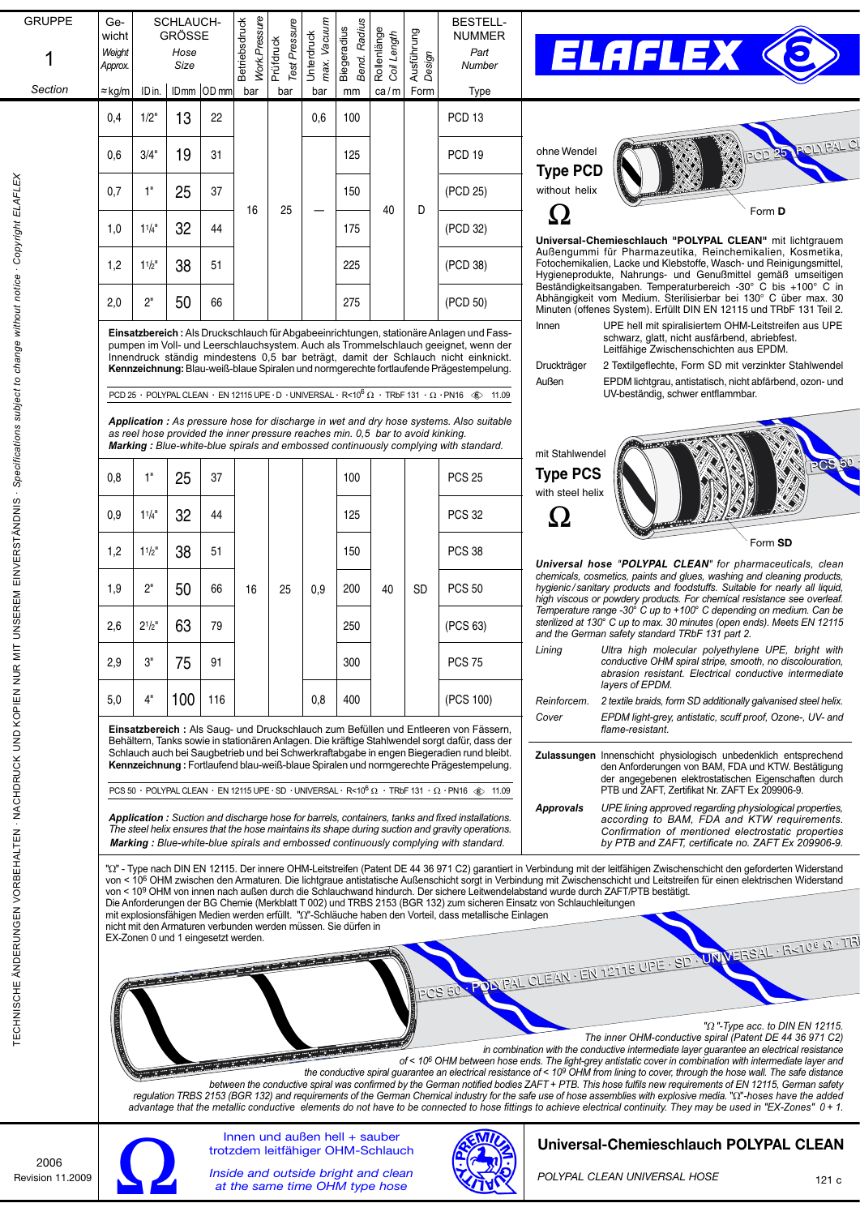| <b>GRUPPE</b>                                                                                                                                                 |                                                                                                                                                                                                                                                                                                                                                                                                                                                                                                           |                | SCHLAUCH-                           |              |                                                                                                                                                                                                                                                                                            |                            |            |                    |                                                                                                                                                                                                                                        |            | <b>BESTELL-</b>                                                                                         |                                                                                                                                                                                                                                                                                                                                                                                                                                                                               |  |  |
|---------------------------------------------------------------------------------------------------------------------------------------------------------------|-----------------------------------------------------------------------------------------------------------------------------------------------------------------------------------------------------------------------------------------------------------------------------------------------------------------------------------------------------------------------------------------------------------------------------------------------------------------------------------------------------------|----------------|-------------------------------------|--------------|--------------------------------------------------------------------------------------------------------------------------------------------------------------------------------------------------------------------------------------------------------------------------------------------|----------------------------|------------|--------------------|----------------------------------------------------------------------------------------------------------------------------------------------------------------------------------------------------------------------------------------|------------|---------------------------------------------------------------------------------------------------------|-------------------------------------------------------------------------------------------------------------------------------------------------------------------------------------------------------------------------------------------------------------------------------------------------------------------------------------------------------------------------------------------------------------------------------------------------------------------------------|--|--|
|                                                                                                                                                               | Ge-<br>wicht                                                                                                                                                                                                                                                                                                                                                                                                                                                                                              |                | <b>GRÖSSE</b>                       |              |                                                                                                                                                                                                                                                                                            |                            | Vacuum     | Radius             |                                                                                                                                                                                                                                        |            | <b>NUMMER</b>                                                                                           |                                                                                                                                                                                                                                                                                                                                                                                                                                                                               |  |  |
|                                                                                                                                                               |                                                                                                                                                                                                                                                                                                                                                                                                                                                                                                           | Weight<br>Hose |                                     |              | Work. Pressure<br>Betriebsdruck                                                                                                                                                                                                                                                            | Test Pressure<br>Prüfdruck | Unterdruck | <b>Biegeradius</b> | Rollenlänge<br>Coil Length                                                                                                                                                                                                             | Ausführung | Part                                                                                                    | <b>ELAFLEX &lt;</b>                                                                                                                                                                                                                                                                                                                                                                                                                                                           |  |  |
|                                                                                                                                                               | Approx.                                                                                                                                                                                                                                                                                                                                                                                                                                                                                                   |                | Size                                |              |                                                                                                                                                                                                                                                                                            |                            | max.       | Bend.              |                                                                                                                                                                                                                                        | Design     | Number                                                                                                  |                                                                                                                                                                                                                                                                                                                                                                                                                                                                               |  |  |
| Section                                                                                                                                                       | ≈kg/m                                                                                                                                                                                                                                                                                                                                                                                                                                                                                                     | ID in.         |                                     | IDmm IOD mml | bar                                                                                                                                                                                                                                                                                        | bar                        | bar        | mm                 | ca/m                                                                                                                                                                                                                                   | Form       | Type                                                                                                    |                                                                                                                                                                                                                                                                                                                                                                                                                                                                               |  |  |
|                                                                                                                                                               | 0,4                                                                                                                                                                                                                                                                                                                                                                                                                                                                                                       | 1/2"           | 13                                  | 22           |                                                                                                                                                                                                                                                                                            |                            | 0,6        | 100                |                                                                                                                                                                                                                                        |            | PCD <sub>13</sub>                                                                                       |                                                                                                                                                                                                                                                                                                                                                                                                                                                                               |  |  |
|                                                                                                                                                               |                                                                                                                                                                                                                                                                                                                                                                                                                                                                                                           |                |                                     |              |                                                                                                                                                                                                                                                                                            |                            |            |                    |                                                                                                                                                                                                                                        |            |                                                                                                         |                                                                                                                                                                                                                                                                                                                                                                                                                                                                               |  |  |
|                                                                                                                                                               | 0,6                                                                                                                                                                                                                                                                                                                                                                                                                                                                                                       | 3/4"           | 19                                  | 31           |                                                                                                                                                                                                                                                                                            |                            |            | 125                |                                                                                                                                                                                                                                        |            | <b>PCD 19</b>                                                                                           | <b>POLYPAL</b><br>ohne Wendel<br><b>Type PCD</b>                                                                                                                                                                                                                                                                                                                                                                                                                              |  |  |
|                                                                                                                                                               | 0,7                                                                                                                                                                                                                                                                                                                                                                                                                                                                                                       | 1"             | 25                                  | 37           |                                                                                                                                                                                                                                                                                            | 25                         |            | 150                |                                                                                                                                                                                                                                        | D          | (PCD 25)                                                                                                | without helix                                                                                                                                                                                                                                                                                                                                                                                                                                                                 |  |  |
|                                                                                                                                                               | 1,0                                                                                                                                                                                                                                                                                                                                                                                                                                                                                                       | $11/4$ "       | 32                                  | 44           | 16                                                                                                                                                                                                                                                                                         |                            |            | 175                | 40                                                                                                                                                                                                                                     |            | (PCD 32)                                                                                                | <u>(        )</u><br>Form <b>D</b><br>Universal-Chemieschlauch "POLYPAL CLEAN" mit lichtgrauem                                                                                                                                                                                                                                                                                                                                                                                |  |  |
|                                                                                                                                                               | 1,2                                                                                                                                                                                                                                                                                                                                                                                                                                                                                                       | $11/2$ "       | 38                                  | 51           |                                                                                                                                                                                                                                                                                            |                            |            | 225                |                                                                                                                                                                                                                                        |            | (PCD 38)                                                                                                | Außengummi für Pharmazeutika, Reinchemikalien, Kosmetika,<br>Fotochemikalien, Lacke und Klebstoffe, Wasch- und Reinigungsmittel,<br>Hygieneprodukte, Nahrungs- und Genußmittel gemäß umseitigen                                                                                                                                                                                                                                                                               |  |  |
|                                                                                                                                                               | 2,0                                                                                                                                                                                                                                                                                                                                                                                                                                                                                                       | 2"             | 50                                  | 66           |                                                                                                                                                                                                                                                                                            |                            |            | 275                |                                                                                                                                                                                                                                        |            | (PCD 50)                                                                                                | Beständigkeitsangaben. Temperaturbereich -30° C bis +100° C in<br>Abhängigkeit vom Medium. Sterilisierbar bei 130° C über max. 30<br>Minuten (offenes System). Erfüllt DIN EN 12115 und TRbF 131 Teil 2.                                                                                                                                                                                                                                                                      |  |  |
| TECHNISCHE ÄNDERUNGEN VORBEHALTEN - NACHDRUCK UND KOPIEN NUR MIT UNSEREM EINVERSTÄNDNIS - Specifications subject to change without notice - Copyright ELAFLEX | Einsatzbereich: Als Druckschlauch für Abgabeeinrichtungen, stationäre Anlagen und Fass-<br>pumpen im Voll- und Leerschlauchsystem. Auch als Trommelschlauch geeignet, wenn der<br>Innendruck ständig mindestens 0,5 bar beträgt, damit der Schlauch nicht einknickt.<br>Kennzeichnung: Blau-weiß-blaue Spiralen und normgerechte fortlaufende Prägestempelung.<br>PCD 25 · POLYPAL CLEAN · EN 12115 UPE · D · UNIVERSAL · R<10 $^6$ $\Omega$ · TRbF 131 · $\Omega$ · PN16<br>া<br>11.09                   |                |                                     |              |                                                                                                                                                                                                                                                                                            |                            |            |                    |                                                                                                                                                                                                                                        |            |                                                                                                         | UPE hell mit spiralisiertem OHM-Leitstreifen aus UPE<br>Innen<br>schwarz, glatt, nicht ausfärbend, abriebfest.<br>Leitfähige Zwischenschichten aus EPDM.<br>2 Textilgeflechte, Form SD mit verzinkter Stahlwendel<br>Druckträger<br>Außen<br>EPDM lichtgrau, antistatisch, nicht abfärbend, ozon- und<br>UV-beständig, schwer entflammbar.                                                                                                                                    |  |  |
|                                                                                                                                                               |                                                                                                                                                                                                                                                                                                                                                                                                                                                                                                           |                |                                     |              |                                                                                                                                                                                                                                                                                            |                            |            |                    |                                                                                                                                                                                                                                        |            |                                                                                                         |                                                                                                                                                                                                                                                                                                                                                                                                                                                                               |  |  |
|                                                                                                                                                               |                                                                                                                                                                                                                                                                                                                                                                                                                                                                                                           |                |                                     |              |                                                                                                                                                                                                                                                                                            |                            |            |                    | as reel hose provided the inner pressure reaches min. 0,5 bar to avoid kinking.                                                                                                                                                        |            | Application: As pressure hose for discharge in wet and dry hose systems. Also suitable                  |                                                                                                                                                                                                                                                                                                                                                                                                                                                                               |  |  |
|                                                                                                                                                               |                                                                                                                                                                                                                                                                                                                                                                                                                                                                                                           |                |                                     |              |                                                                                                                                                                                                                                                                                            |                            |            |                    |                                                                                                                                                                                                                                        | <b>SD</b>  | Marking: Blue-white-blue spirals and embossed continuously complying with standard.                     | mit Stahlwendel                                                                                                                                                                                                                                                                                                                                                                                                                                                               |  |  |
|                                                                                                                                                               | 0,8                                                                                                                                                                                                                                                                                                                                                                                                                                                                                                       | 1"             | 25                                  | 37           | 16                                                                                                                                                                                                                                                                                         | 25                         | 0.9        | 100                |                                                                                                                                                                                                                                        |            | <b>PCS 25</b>                                                                                           | <b>Type PCS</b><br>with steel helix                                                                                                                                                                                                                                                                                                                                                                                                                                           |  |  |
|                                                                                                                                                               | 0.9                                                                                                                                                                                                                                                                                                                                                                                                                                                                                                       | $11/4$ "       | 32                                  | 44           |                                                                                                                                                                                                                                                                                            |                            |            | 125                | 40                                                                                                                                                                                                                                     |            | <b>PCS 32</b>                                                                                           | <u>(        )</u>                                                                                                                                                                                                                                                                                                                                                                                                                                                             |  |  |
|                                                                                                                                                               | 1,2                                                                                                                                                                                                                                                                                                                                                                                                                                                                                                       | $11/2$ "       | 38                                  | 51           |                                                                                                                                                                                                                                                                                            |                            |            | 150                |                                                                                                                                                                                                                                        |            | <b>PCS 38</b>                                                                                           | Form SD<br>Universal hose "POLYPAL CLEAN" for pharmaceuticals, clean<br>chemicals, cosmetics, paints and glues, washing and cleaning products,                                                                                                                                                                                                                                                                                                                                |  |  |
|                                                                                                                                                               | 1,9                                                                                                                                                                                                                                                                                                                                                                                                                                                                                                       | 2"             | 50                                  | 66           |                                                                                                                                                                                                                                                                                            |                            |            | 200                |                                                                                                                                                                                                                                        |            | <b>PCS 50</b>                                                                                           | hygienic/sanitary products and foodstuffs. Suitable for nearly all liquid,<br>high viscous or powdery products. For chemical resistance see overleaf.<br>Temperature range -30° C up to +100° C depending on medium. Can be                                                                                                                                                                                                                                                   |  |  |
|                                                                                                                                                               | 2,6                                                                                                                                                                                                                                                                                                                                                                                                                                                                                                       | $2^{1/2}$      | 63                                  | 79           |                                                                                                                                                                                                                                                                                            |                            |            | 250                |                                                                                                                                                                                                                                        |            | (PCS 63)                                                                                                | sterilized at 130° C up to max. 30 minutes (open ends). Meets EN 12115<br>and the German safety standard TRbF 131 part 2.                                                                                                                                                                                                                                                                                                                                                     |  |  |
|                                                                                                                                                               | 2,9                                                                                                                                                                                                                                                                                                                                                                                                                                                                                                       | 3"             | 75                                  | 91           |                                                                                                                                                                                                                                                                                            |                            |            | 300                |                                                                                                                                                                                                                                        |            | <b>PCS 75</b>                                                                                           | Ultra high molecular polyethylene UPE, bright with<br>Lining<br>conductive OHM spiral stripe, smooth, no discolouration,<br>abrasion resistant. Electrical conductive intermediate                                                                                                                                                                                                                                                                                            |  |  |
|                                                                                                                                                               | 5,0                                                                                                                                                                                                                                                                                                                                                                                                                                                                                                       | 4"             | 100                                 | 116          |                                                                                                                                                                                                                                                                                            |                            | 0,8        | 400                |                                                                                                                                                                                                                                        |            | (PCS 100)                                                                                               | layers of EPDM.<br>Reinforcem.<br>2 textile braids, form SD additionally galvanised steel helix.<br>EPDM light-grey, antistatic, scuff proof, Ozone-, UV- and<br>Cover                                                                                                                                                                                                                                                                                                        |  |  |
|                                                                                                                                                               | Einsatzbereich: Als Saug- und Druckschlauch zum Befüllen und Entleeren von Fässern,<br>flame-resistant.<br>Behältern, Tanks sowie in stationären Anlagen. Die kräftige Stahlwendel sorgt dafür, dass der<br>Schlauch auch bei Saugbetrieb und bei Schwerkraftabgabe in engen Biegeradien rund bleibt.                                                                                                                                                                                                     |                |                                     |              |                                                                                                                                                                                                                                                                                            |                            |            |                    |                                                                                                                                                                                                                                        |            |                                                                                                         |                                                                                                                                                                                                                                                                                                                                                                                                                                                                               |  |  |
|                                                                                                                                                               |                                                                                                                                                                                                                                                                                                                                                                                                                                                                                                           |                |                                     |              | Kennzeichnung: Fortlaufend blau-weiß-blaue Spiralen und normgerechte Prägestempelung.<br>PCS 50 · POLYPAL CLEAN · EN 12115 UPE · SD · UNIVERSAL · R<10 <sup>6</sup> $\Omega$ · TRbF 131 · $\Omega$ · PN16 $\circledast$ 11.09                                                              |                            |            |                    | Zulassungen Innenschicht physiologisch unbedenklich entsprechend<br>den Anforderungen von BAM, FDA und KTW. Bestätigung<br>der angegebenen elektrostatischen Eigenschaften durch<br>PTB und ZAFT, Zertifikat Nr. ZAFT Ex 209906-9.     |            |                                                                                                         |                                                                                                                                                                                                                                                                                                                                                                                                                                                                               |  |  |
|                                                                                                                                                               |                                                                                                                                                                                                                                                                                                                                                                                                                                                                                                           |                |                                     |              | Application: Suction and discharge hose for barrels, containers, tanks and fixed installations.<br>The steel helix ensures that the hose maintains its shape during suction and gravity operations.<br>Marking: Blue-white-blue spirals and embossed continuously complying with standard. |                            |            |                    | UPE lining approved regarding physiological properties,<br><b>Approvals</b><br>according to BAM, FDA and KTW requirements.<br>Confirmation of mentioned electrostatic properties<br>by PTB and ZAFT, certificate no. ZAFT Ex 209906-9. |            |                                                                                                         |                                                                                                                                                                                                                                                                                                                                                                                                                                                                               |  |  |
|                                                                                                                                                               | "2" - Type nach DIN EN 12115. Der innere OHM-Leitstreifen (Patent DE 44 36 971 C2) garantiert in Verbindung mit der leitfähigen Zwischenschicht den geforderten Widerstand<br>von < 10 <sup>6</sup> OHM zwischen den Armaturen. Die lichtgraue antistatische Außenschicht sorgt in Verbindung mit Zwischenschicht und Leitstreifen für einen elektrischen Widerstand<br>von < 109 OHM von innen nach außen durch die Schlauchwand hindurch. Der sichere Leitwendelabstand wurde durch ZAFT/PTB bestätigt. |                |                                     |              |                                                                                                                                                                                                                                                                                            |                            |            |                    |                                                                                                                                                                                                                                        |            |                                                                                                         |                                                                                                                                                                                                                                                                                                                                                                                                                                                                               |  |  |
|                                                                                                                                                               |                                                                                                                                                                                                                                                                                                                                                                                                                                                                                                           |                |                                     |              |                                                                                                                                                                                                                                                                                            |                            |            |                    |                                                                                                                                                                                                                                        |            | mit explosionsfähigen Medien werden erfüllt. "Ω"-Schläuche haben den Vorteil, dass metallische Einlagen | Die Anforderungen der BG Chemie (Merkblatt T 002) und TRBS 2153 (BGR 132) zum sicheren Einsatz von Schlauchleitungen                                                                                                                                                                                                                                                                                                                                                          |  |  |
|                                                                                                                                                               |                                                                                                                                                                                                                                                                                                                                                                                                                                                                                                           |                | EX-Zonen 0 und 1 eingesetzt werden. |              | nicht mit den Armaturen verbunden werden müssen. Sie dürfen in                                                                                                                                                                                                                             |                            |            |                    |                                                                                                                                                                                                                                        |            |                                                                                                         |                                                                                                                                                                                                                                                                                                                                                                                                                                                                               |  |  |
|                                                                                                                                                               |                                                                                                                                                                                                                                                                                                                                                                                                                                                                                                           |                |                                     |              | <u>n der general i der er an der general i der general i der general i der general i der general i der general i</u>                                                                                                                                                                       |                            |            |                    |                                                                                                                                                                                                                                        |            |                                                                                                         | POLYPAL CLEAN · EN 12115 UPE · SD · UNIVERSAL · R<100 12 · TR                                                                                                                                                                                                                                                                                                                                                                                                                 |  |  |
|                                                                                                                                                               |                                                                                                                                                                                                                                                                                                                                                                                                                                                                                                           |                |                                     |              |                                                                                                                                                                                                                                                                                            |                            |            |                    |                                                                                                                                                                                                                                        |            | PCS50                                                                                                   |                                                                                                                                                                                                                                                                                                                                                                                                                                                                               |  |  |
|                                                                                                                                                               |                                                                                                                                                                                                                                                                                                                                                                                                                                                                                                           |                |                                     |              |                                                                                                                                                                                                                                                                                            |                            |            |                    |                                                                                                                                                                                                                                        |            |                                                                                                         | " $\Omega$ "-Type acc. to DIN EN 12115.<br>The inner OHM-conductive spiral (Patent DE 44 36 971 C2)                                                                                                                                                                                                                                                                                                                                                                           |  |  |
|                                                                                                                                                               |                                                                                                                                                                                                                                                                                                                                                                                                                                                                                                           |                |                                     |              | <b>CENTRE CONTRACTOR</b>                                                                                                                                                                                                                                                                   |                            |            |                    |                                                                                                                                                                                                                                        |            |                                                                                                         | in combination with the conductive intermediate layer guarantee an electrical resistance<br>of < $106$ OHM between hose ends. The light-grey antistatic cover in combination with intermediate layer and                                                                                                                                                                                                                                                                      |  |  |
|                                                                                                                                                               |                                                                                                                                                                                                                                                                                                                                                                                                                                                                                                           |                |                                     |              |                                                                                                                                                                                                                                                                                            |                            |            |                    |                                                                                                                                                                                                                                        |            |                                                                                                         | the conductive spiral guarantee an electrical resistance of < $10^9$ OHM from lining to cover, through the hose wall. The safe distance<br>between the conductive spiral was confirmed by the German notified bodies ZAFT + PTB. This hose fulfils new requirements of EN 12115, German safety<br>regulation TRBS 2153 (BGR 132) and requirements of the German Chemical industry for the safe use of hose assemblies with explosive media. " $\Omega$ "-hoses have the added |  |  |
|                                                                                                                                                               |                                                                                                                                                                                                                                                                                                                                                                                                                                                                                                           |                |                                     |              | Innen und außen hell + sauber                                                                                                                                                                                                                                                              |                            |            |                    |                                                                                                                                                                                                                                        |            |                                                                                                         | advantage that the metallic conductive elements do not have to be connected to hose fittings to achieve electrical continuity. They may be used in "EX-Zones" 0+1.                                                                                                                                                                                                                                                                                                            |  |  |
| 2006                                                                                                                                                          |                                                                                                                                                                                                                                                                                                                                                                                                                                                                                                           |                |                                     |              |                                                                                                                                                                                                                                                                                            |                            |            |                    | trotzdem leitfähiger OHM-Schlauch                                                                                                                                                                                                      |            |                                                                                                         | Universal-Chemieschlauch POLYPAL CLEAN                                                                                                                                                                                                                                                                                                                                                                                                                                        |  |  |
| <b>Revision 11.2009</b>                                                                                                                                       |                                                                                                                                                                                                                                                                                                                                                                                                                                                                                                           |                |                                     |              |                                                                                                                                                                                                                                                                                            |                            |            |                    | Inside and outside bright and clean<br>at the same time OHM type hose                                                                                                                                                                  |            |                                                                                                         | POLYPAL CLEAN UNIVERSAL HOSE<br>121 c                                                                                                                                                                                                                                                                                                                                                                                                                                         |  |  |